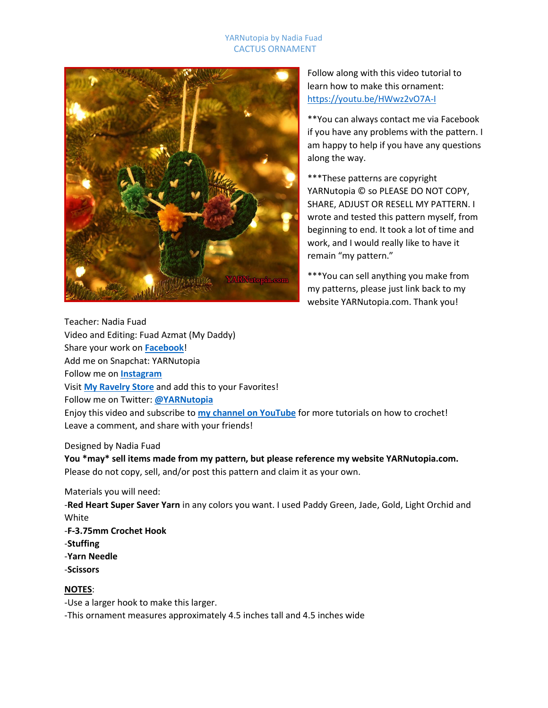#### YARNutopia by Nadia Fuad CACTUS ORNAMENT



Follow along with this video tutorial to learn how to make this ornament: <https://youtu.be/HWwz2vO7A-I>

\*\*You can always contact me via Facebook if you have any problems with the pattern. I am happy to help if you have any questions along the way.

\*\*\*These patterns are copyright YARNutopia © so PLEASE DO NOT COPY, SHARE, ADJUST OR RESELL MY PATTERN. I wrote and tested this pattern myself, from beginning to end. It took a lot of time and work, and I would really like to have it remain "my pattern."

\*\*\*You can sell anything you make from my patterns, please just link back to my website YARNutopia.com. Thank you!

Teacher: Nadia Fuad Video and Editing: Fuad Azmat (My Daddy) Share your work on **[Facebook](https://www.facebook.com/YARNutopiabyNadiaFuad/)**! Add me on Snapchat: YARNutopia Follow me on **[Instagram](https://www.instagram.com/yarnutopiabynadiafuad/)** Visit **[My Ravelry Store](http://www.ravelry.com/designers/nadia-fuad)** and add this to your Favorites! Follow me on Twitter: **[@YARNutopia](https://twitter.com/yarnutopia)** Enjoy this video and subscribe to **[my channel on YouTube](https://www.youtube.com/channel/UCzmagS2JwfR2li-COH6ixoQ)** for more tutorials on how to crochet! Leave a comment, and share with your friends!

#### Designed by Nadia Fuad

**You \*may\* sell items made from my pattern, but please reference my website YARNutopia.com.** Please do not copy, sell, and/or post this pattern and claim it as your own.

Materials you will need:

-**Red Heart Super Saver Yarn** in any colors you want. I used Paddy Green, Jade, Gold, Light Orchid and White -**F-3.75mm Crochet Hook** -**Stuffing** -**Yarn Needle** -**Scissors**

#### **NOTES**:

-Use a larger hook to make this larger.

-This ornament measures approximately 4.5 inches tall and 4.5 inches wide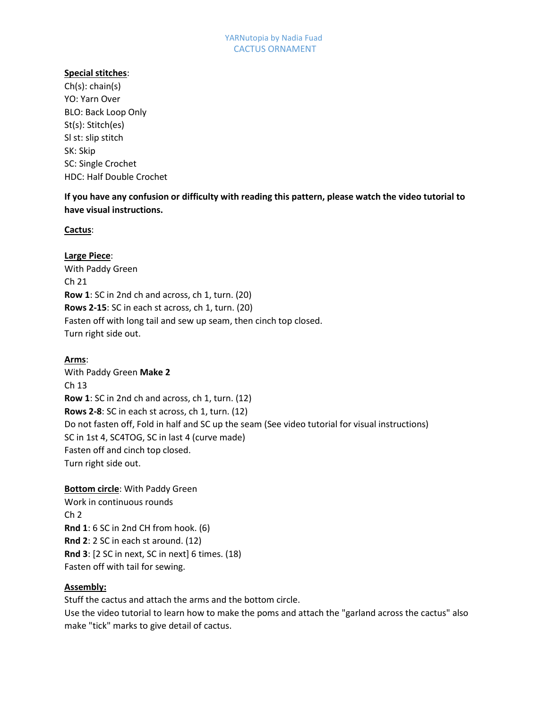# **Special stitches**:

Ch(s): chain(s) YO: Yarn Over BLO: Back Loop Only St(s): Stitch(es) Sl st: slip stitch SK: Skip SC: Single Crochet HDC: Half Double Crochet

**If you have any confusion or difficulty with reading this pattern, please watch the video tutorial to have visual instructions.**

## **Cactus**:

**Large Piece**: With Paddy Green Ch 21 **Row 1**: SC in 2nd ch and across, ch 1, turn. (20) **Rows 2-15**: SC in each st across, ch 1, turn. (20) Fasten off with long tail and sew up seam, then cinch top closed. Turn right side out.

# **Arms**:

With Paddy Green **Make 2** Ch 13 **Row 1**: SC in 2nd ch and across, ch 1, turn. (12) **Rows 2-8**: SC in each st across, ch 1, turn. (12) Do not fasten off, Fold in half and SC up the seam (See video tutorial for visual instructions) SC in 1st 4, SC4TOG, SC in last 4 (curve made) Fasten off and cinch top closed. Turn right side out.

**Bottom circle**: With Paddy Green Work in continuous rounds Ch 2 **Rnd 1**: 6 SC in 2nd CH from hook. (6) **Rnd 2**: 2 SC in each st around. (12) **Rnd 3**: [2 SC in next, SC in next] 6 times. (18) Fasten off with tail for sewing.

## **Assembly:**

Stuff the cactus and attach the arms and the bottom circle. Use the video tutorial to learn how to make the poms and attach the "garland across the cactus" also make "tick" marks to give detail of cactus.